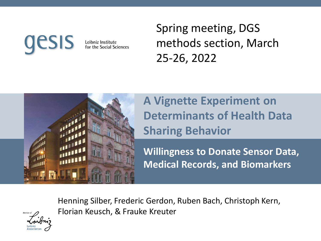# ESIS

Leibniz Institute for the Social Sciences Spring meeting, DGS methods section, March 25-26, 2022



**A Vignette Experiment on Determinants of Health Data Sharing Behavior**

**Willingness to Donate Sensor Data, Medical Records, and Biomarkers**

Henning Silber, Frederic Gerdon, Ruben Bach, Christoph Kern, Florian Keusch, & Frauke Kreuter

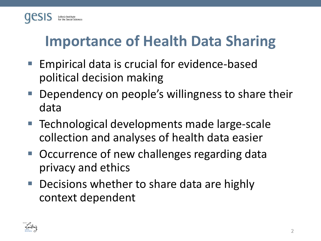

### **Importance of Health Data Sharing**

- Empirical data is crucial for evidence-based political decision making
- Dependency on people's willingness to share their data
- Technological developments made large-scale collection and analyses of health data easier
- Occurrence of new challenges regarding data privacy and ethics
- Decisions whether to share data are highly context dependent

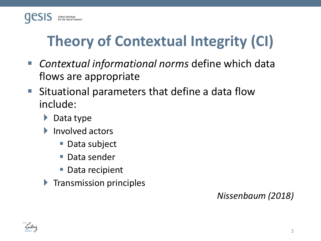

## **Theory of Contextual Integrity (CI)**

- *Contextual informational norms* define which data flows are appropriate
- Situational parameters that define a data flow include:
	- ▶ Data type
	- Involved actors
		- Data subject
		- Data sender
		- Data recipient
	- $\blacktriangleright$  Transmission principles

#### *Nissenbaum (2018)*

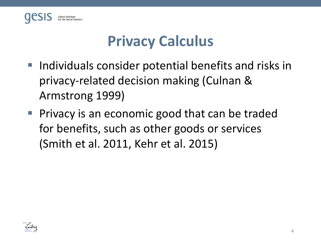

#### **Privacy Calculus**

- Individuals consider potential benefits and risks in privacy-related decision making (Culnan & Armstrong 1999)
- Privacy is an economic good that can be traded for benefits, such as other goods or services (Smith et al. 2011, Kehr et al. 2015)

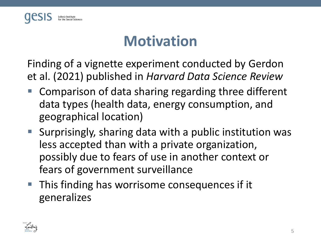

#### **Motivation**

Finding of a vignette experiment conducted by Gerdon et al. (2021) published in *Harvard Data Science Review*

- Comparison of data sharing regarding three different data types (health data, energy consumption, and geographical location)
- Surprisingly, sharing data with a public institution was less accepted than with a private organization, possibly due to fears of use in another context or fears of government surveillance
- This finding has worrisome consequences if it generalizes

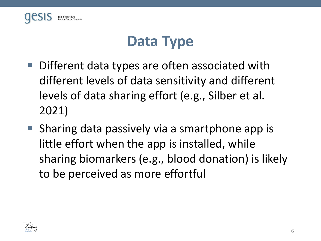

#### **Data Type**

- Different data types are often associated with different levels of data sensitivity and different levels of data sharing effort (e.g., Silber et al. 2021)
- Sharing data passively via a smartphone app is little effort when the app is installed, while sharing biomarkers (e.g., blood donation) is likely to be perceived as more effortful

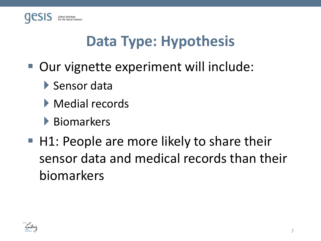

#### **Data Type: Hypothesis**

- Our vignette experiment will include:
	- Sensor data
	- Medial records
	- Biomarkers
- $\blacksquare$  H1: People are more likely to share their sensor data and medical records than their biomarkers

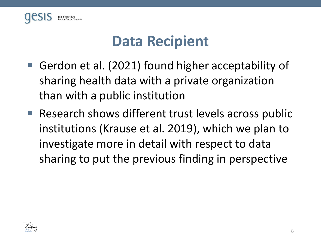

#### **Data Recipient**

- Gerdon et al. (2021) found higher acceptability of sharing health data with a private organization than with a public institution
- Research shows different trust levels across public institutions (Krause et al. 2019), which we plan to investigate more in detail with respect to data sharing to put the previous finding in perspective

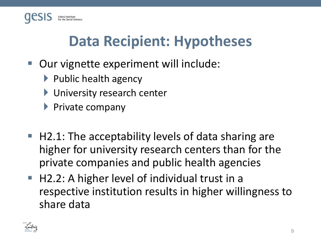

#### **Data Recipient: Hypotheses**

- Our vignette experiment will include:
	- $\blacktriangleright$  Public health agency
	- **I** University research center
	- $\blacktriangleright$  Private company
- H2.1: The acceptability levels of data sharing are higher for university research centers than for the private companies and public health agencies
- H2.2: A higher level of individual trust in a respective institution results in higher willingness to share data

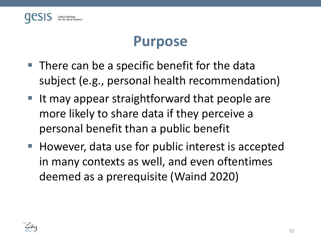

#### **Purpose**

- There can be a specific benefit for the data subject (e.g., personal health recommendation)
- $\blacksquare$  It may appear straightforward that people are more likely to share data if they perceive a personal benefit than a public benefit
- However, data use for public interest is accepted in many contexts as well, and even oftentimes deemed as a prerequisite (Waind 2020)

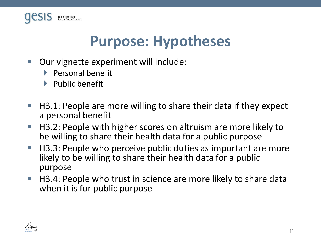

#### **Purpose: Hypotheses**

- Our vignette experiment will include:
	- $\blacktriangleright$  Personal benefit
	- $\blacktriangleright$  Public benefit
- $\blacksquare$  H3.1: People are more willing to share their data if they expect a personal benefit
- H3.2: People with higher scores on altruism are more likely to be willing to share their health data for a public purpose
- H3.3: People who perceive public duties as important are more likely to be willing to share their health data for a public purpose
- $\blacksquare$  H3.4: People who trust in science are more likely to share data when it is for public purpose

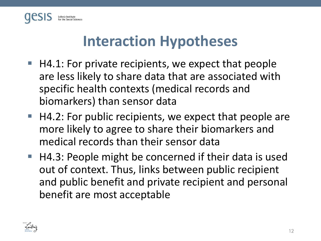

#### **Interaction Hypotheses**

- H4.1: For private recipients, we expect that people are less likely to share data that are associated with specific health contexts (medical records and biomarkers) than sensor data
- H4.2: For public recipients, we expect that people are more likely to agree to share their biomarkers and medical records than their sensor data
- H4.3: People might be concerned if their data is used out of context. Thus, links between public recipient and public benefit and private recipient and personal benefit are most acceptable

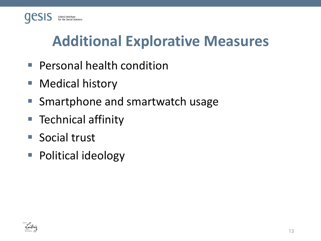

#### **Additional Explorative Measures**

- Personal health condition
- Medical history
- Smartphone and smartwatch usage
- Technical affinity
- Social trust
- Political ideology

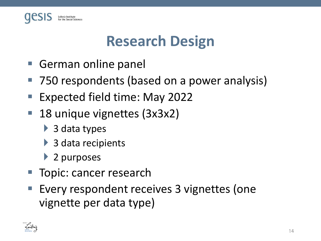

#### **Research Design**

- German online panel
- 750 respondents (based on a power analysis)
- Expected field time: May 2022
- 18 unique vignettes (3x3x2)
	- ▶ 3 data types
	- ▶ 3 data recipients
	- ▶ 2 purposes
- Topic: cancer research
- Every respondent receives 3 vignettes (one vignette per data type)

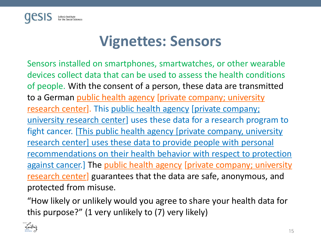

#### **Vignettes: Sensors**

Sensors installed on smartphones, smartwatches, or other wearable devices collect data that can be used to assess the health conditions of people. With the consent of a person, these data are transmitted to a German public health agency [private company; university research center]. This public health agency [private company; university research center] uses these data for a research program to fight cancer. [This public health agency [private company, university research center] uses these data to provide people with personal recommendations on their health behavior with respect to protection against cancer.] The public health agency [private company; university research center] guarantees that the data are safe, anonymous, and protected from misuse.

"How likely or unlikely would you agree to share your health data for this purpose?" (1 very unlikely to (7) very likely)

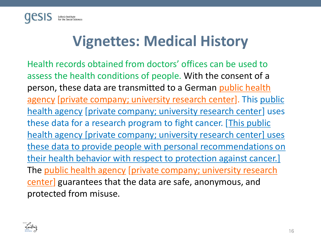

#### **Vignettes: Medical History**

Health records obtained from doctors' offices can be used to assess the health conditions of people. With the consent of a person, these data are transmitted to a German public health agency [private company; university research center]. This public health agency [private company; university research center] uses these data for a research program to fight cancer. [This public health agency [private company; university research center] uses these data to provide people with personal recommendations on their health behavior with respect to protection against cancer.] The public health agency [private company; university research center] guarantees that the data are safe, anonymous, and protected from misuse.

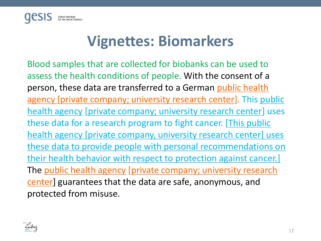

#### **Vignettes: Biomarkers**

Blood samples that are collected for biobanks can be used to assess the health conditions of people. With the consent of a person, these data are transferred to a German public health agency [private company; university research center]. This public health agency [private company; university research center] uses these data for a research program to fight cancer. [This public health agency [private company, university research center] uses these data to provide people with personal recommendations on their health behavior with respect to protection against cancer.] The public health agency [private company; university research center] guarantees that the data are safe, anonymous, and protected from misuse.

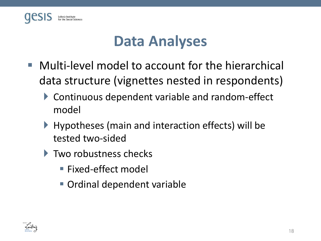

#### **Data Analyses**

- Multi-level model to account for the hierarchical data structure (vignettes nested in respondents)
	- ▶ Continuous dependent variable and random-effect model
	- ▶ Hypotheses (main and interaction effects) will be tested two-sided
	- ▶ Two robustness checks
		- Fixed-effect model
		- Ordinal dependent variable

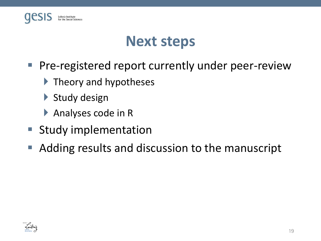

#### **Next steps**

- Pre-registered report currently under peer-review
	- $\blacktriangleright$  Theory and hypotheses
	- Study design
	- Analyses code in R
- Study implementation
- Adding results and discussion to the manuscript

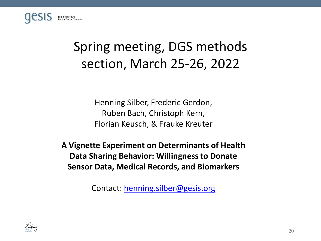

#### Spring meeting, DGS methods section, March 25-26, 2022

Henning Silber, Frederic Gerdon, Ruben Bach, Christoph Kern, Florian Keusch, & Frauke Kreuter

**A Vignette Experiment on Determinants of Health Data Sharing Behavior: Willingness to Donate Sensor Data, Medical Records, and Biomarkers**

Contact: [henning.silber@gesis.org](mailto:henning.silber@gesis.org)